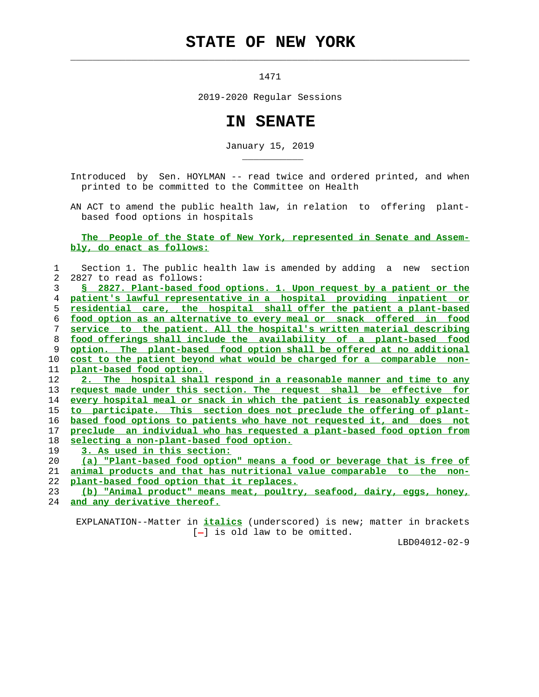## **STATE OF NEW YORK**

1471

 $\mathcal{L}_\text{max} = \frac{1}{2} \sum_{i=1}^{n} \frac{1}{2} \sum_{i=1}^{n} \frac{1}{2} \sum_{i=1}^{n} \frac{1}{2} \sum_{i=1}^{n} \frac{1}{2} \sum_{i=1}^{n} \frac{1}{2} \sum_{i=1}^{n} \frac{1}{2} \sum_{i=1}^{n} \frac{1}{2} \sum_{i=1}^{n} \frac{1}{2} \sum_{i=1}^{n} \frac{1}{2} \sum_{i=1}^{n} \frac{1}{2} \sum_{i=1}^{n} \frac{1}{2} \sum_{i=1}^{n} \frac{1$ 

\_\_\_\_\_\_\_\_\_\_\_

2019-2020 Regular Sessions

## **IN SENATE**

January 15, 2019

 Introduced by Sen. HOYLMAN -- read twice and ordered printed, and when printed to be committed to the Committee on Health

 AN ACT to amend the public health law, in relation to offering plant based food options in hospitals

## **The People of the State of New York, represented in Senate and Assem bly, do enact as follows:**

| 1             | Section 1. The public health law is amended by adding a new section         |
|---------------|-----------------------------------------------------------------------------|
| $\mathcal{L}$ | 2827 to read as follows:                                                    |
| 3             | § 2827. Plant-based food options. 1. Upon request by a patient or the       |
| 4             | patient's lawful representative in a hospital providing inpatient or        |
| 5             | <u>residential care, the hospital shall offer the patient a plant-based</u> |
| 6             | food option as an alternative to every meal or snack offered in food        |
| 7             | service to the patient. All the hospital's written material describing      |
| 8             | food offerings shall include the availability of a plant-based food         |
| 9             | option. The plant-based food option shall be offered at no additional       |
| 10            | cost to the patient beyond what would be charged for a comparable non-      |
| 11            | plant-based food option.                                                    |
| 12            | 2. The hospital shall respond in a reasonable manner and time to any        |
| 13            | request made under this section. The request shall be effective for         |
| 14            | every hospital meal or snack in which the patient is reasonably expected    |
| 15            | to participate. This section does not preclude the offering of plant-       |
| 16            | based food options to patients who have not requested it, and does not      |
| 17            | preclude an individual who has requested a plant-based food option from     |
| 18            | selecting a non-plant-based food option.                                    |
| 19            | 3. As used in this section:                                                 |
| 20            | (a) "Plant-based food option" means a food or beverage that is free of      |
| 21            | animal products and that has nutritional value comparable to the non-       |
| 22            | plant-based food option that it replaces.                                   |
| 23            | (b) "Animal product" means meat, poultry, seafood, dairy, eqqs, honey,      |
| 24            | and any derivative thereof.                                                 |

 EXPLANATION--Matter in **italics** (underscored) is new; matter in brackets  $[-]$  is old law to be omitted.

LBD04012-02-9